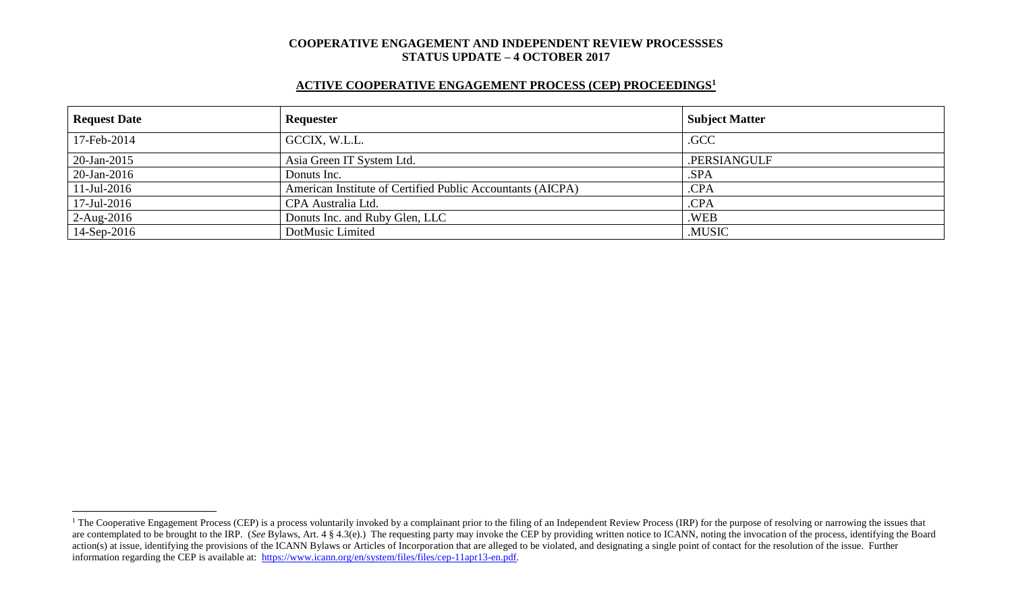# **ACTIVE COOPERATIVE ENGAGEMENT PROCESS (CEP) PROCEEDINGS<sup>1</sup>**

| <b>Request Date</b> | Requester                                                  | <b>Subject Matter</b> |
|---------------------|------------------------------------------------------------|-----------------------|
| 17-Feb-2014         | GCCIX, W.L.L.                                              | .GCC                  |
| 20-Jan-2015         | Asia Green IT System Ltd.                                  | .PERSIANGULF          |
| $20$ -Jan-2016      | Donuts Inc.                                                | .SPA                  |
| $11$ -Jul-2016      | American Institute of Certified Public Accountants (AICPA) | .CPA                  |
| $17$ -Jul-2016      | CPA Australia Ltd.                                         | .CPA                  |
| $2-Aug-2016$        | Donuts Inc. and Ruby Glen, LLC                             | .WEB                  |
| 14-Sep-2016         | DotMusic Limited                                           | .MUSIC                |

 $\overline{a}$ 

<sup>&</sup>lt;sup>1</sup> The Cooperative Engagement Process (CEP) is a process voluntarily invoked by a complainant prior to the filing of an Independent Review Process (IRP) for the purpose of resolving or narrowing the issues that are contemplated to be brought to the IRP. (*See* Bylaws, Art. 4 § 4.3(e).) The requesting party may invoke the CEP by providing written notice to ICANN, noting the invocation of the process, identifying the Board action(s) at issue, identifying the provisions of the ICANN Bylaws or Articles of Incorporation that are alleged to be violated, and designating a single point of contact for the resolution of the issue. Further information regarding the CEP is available at: [https://www.icann.org/en/system/files/files/cep-11apr13-en.pdf.](https://www.icann.org/en/system/files/files/cep-11apr13-en.pdf)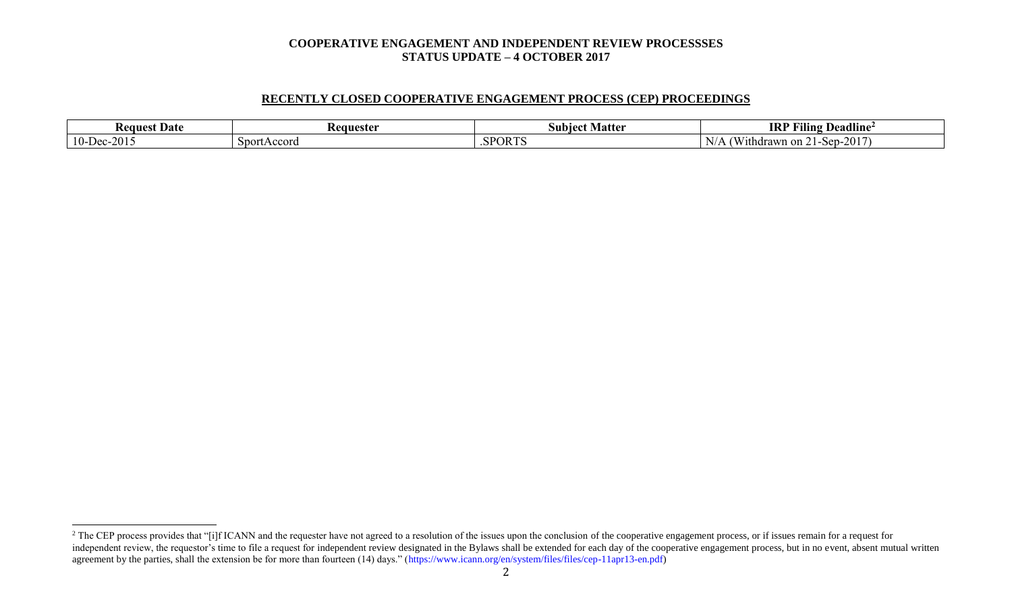## **RECENTLY CLOSED COOPERATIVE ENGAGEMENT PROCESS (CEP) PROCEEDINGS**

| st Date<br>Reques                                                                                             | <b>Requester</b> | Matter<br>Subiec | <br><b>IRI</b><br>$\blacksquare$<br>┳.<br>Deadline <sup>2</sup><br>Aling |
|---------------------------------------------------------------------------------------------------------------|------------------|------------------|--------------------------------------------------------------------------|
| $\bigcap$ $\bigcap$ 1<br>$\overline{\phantom{a}}$<br>$10 -$<br>$. \mathsf{I} \mathsf{P} \mathsf{C}$<br>`-201. | SportAccord      | .SPORTS          | $-2017$<br>1thdrawn<br>'n on<br>Sep-<br>. .                              |

 $\overline{a}$ 

<sup>&</sup>lt;sup>2</sup> The CEP process provides that "[i]f ICANN and the requester have not agreed to a resolution of the issues upon the conclusion of the cooperative engagement process, or if issues remain for a request for independent review, the requestor's time to file a request for independent review designated in the Bylaws shall be extended for each day of the cooperative engagement process, but in no event, absent mutual written agreement by the parties, shall the extension be for more than fourteen (14) days." (https://www.icann.org/en/system/files/files/cep-11apr13-en.pdf)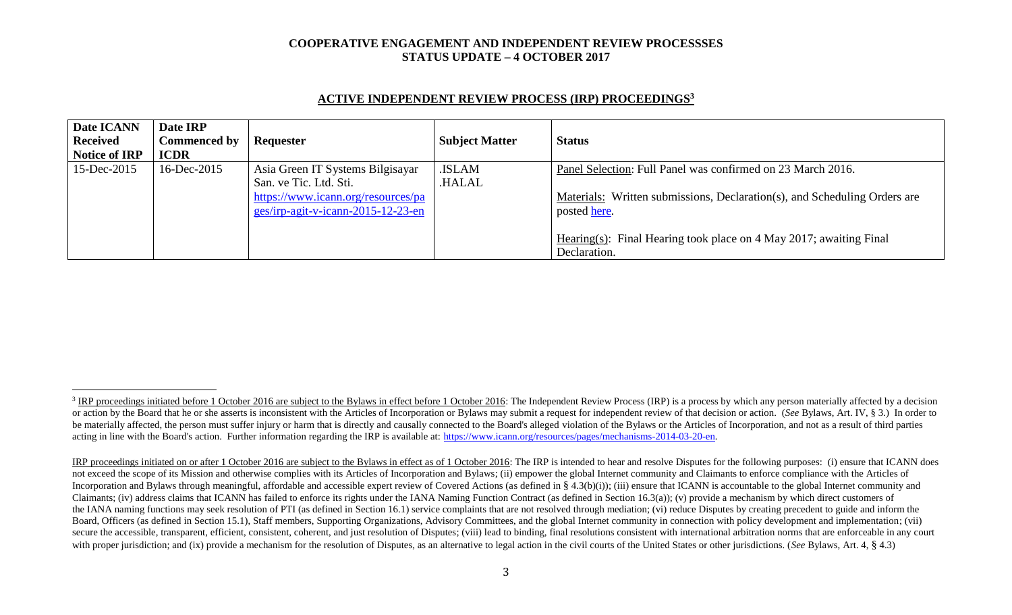| Date ICANN<br><b>Received</b><br><b>Notice of IRP</b> | Date IRP<br><b>Commenced by</b><br><b>ICDR</b> | Requester                                                                                                                              | <b>Subject Matter</b>  | <b>Status</b>                                                                                                                                                                                                                                  |
|-------------------------------------------------------|------------------------------------------------|----------------------------------------------------------------------------------------------------------------------------------------|------------------------|------------------------------------------------------------------------------------------------------------------------------------------------------------------------------------------------------------------------------------------------|
| 15-Dec-2015                                           | $16$ -Dec-2015                                 | Asia Green IT Systems Bilgisayar<br>San. ve Tic. Ltd. Sti.<br>https://www.icann.org/resources/pa<br>ges/irp-agit-v-icann-2015-12-23-en | .ISLAM<br><b>HALAL</b> | Panel Selection: Full Panel was confirmed on 23 March 2016.<br>Materials: Written submissions, Declaration(s), and Scheduling Orders are<br>posted here.<br>Hearing(s): Final Hearing took place on 4 May 2017; awaiting Final<br>Declaration. |

## **ACTIVE INDEPENDENT REVIEW PROCESS (IRP) PROCEEDINGS<sup>3</sup>**

l

<sup>&</sup>lt;sup>3</sup> IRP proceedings initiated before 1 October 2016 are subject to the Bylaws in effect before 1 October 2016: The Independent Review Process (IRP) is a process by which any person materially affected by a decision or action by the Board that he or she asserts is inconsistent with the Articles of Incorporation or Bylaws may submit a request for independent review of that decision or action. (See Bylaws, Art. IV, § 3.) In order to be materially affected, the person must suffer injury or harm that is directly and causally connected to the Board's alleged violation of the Bylaws or the Articles of Incorporation, and not as a result of third parties acting in line with the Board's action. Further information regarding the IRP is available at: [https://www.icann.org/resources/pages/mechanisms-2014-03-20-en.](https://www.icann.org/resources/pages/mechanisms-2014-03-20-en)

IRP proceedings initiated on or after 1 October 2016 are subject to the Bylaws in effect as of 1 October 2016: The IRP is intended to hear and resolve Disputes for the following purposes: (i) ensure that ICANN does not exceed the scope of its Mission and otherwise complies with its Articles of Incorporation and Bylaws; (ii) empower the global Internet community and Claimants to enforce compliance with the Articles of Incorporation and Bylaws through meaningful, affordable and accessible expert review of Covered Actions (as defined in § 4.3(b)(i)); (iii) ensure that ICANN is accountable to the global Internet community and Claimants; (iv) address claims that ICANN has failed to enforce its rights under the IANA Naming Function Contract (as defined in Section 16.3(a)); (v) provide a mechanism by which direct customers of the IANA naming functions may seek resolution of PTI (as defined in Section 16.1) service complaints that are not resolved through mediation; (vi) reduce Disputes by creating precedent to guide and inform the Board, Officers (as defined in Section 15.1), Staff members, Supporting Organizations, Advisory Committees, and the global Internet community in connection with policy development and implementation; (vii) secure the accessible, transparent, efficient, consistent, coherent, and just resolution of Disputes; (viii) lead to binding, final resolutions consistent with international arbitration norms that are enforceable in any co with proper jurisdiction; and (ix) provide a mechanism for the resolution of Disputes, as an alternative to legal action in the civil courts of the United States or other jurisdictions. (*See* Bylaws, Art. 4, § 4.3)